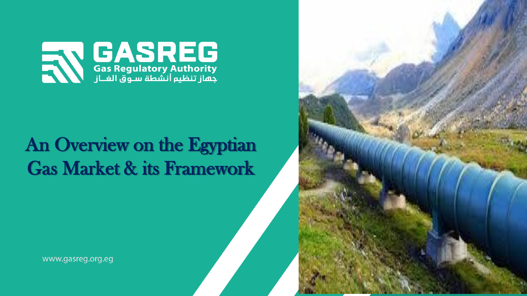

## An Overview on the Egyptian Gas Market & its Framework

www.gasreg.org.eg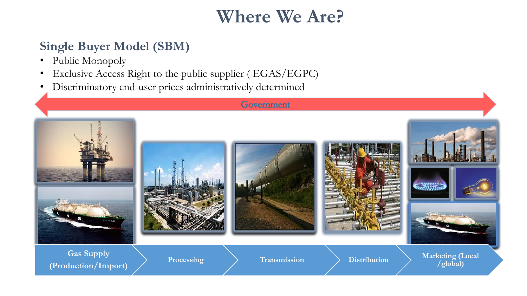## Where We Are?

### Single Buyer Model (SBM)

- Public Monopoly
- Exclusive Access Right to the public supplier ( EGAS/EGPC)
- Discriminatory end-user prices administratively determined

#### Government

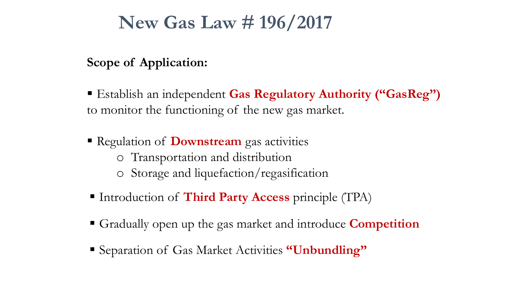### New Gas Law # 196/2017

### Scope of Application:

■ Establish an independent Gas Regulatory Authority ("GasReg") to monitor the functioning of the new gas market.

- **Regulation of Downstream** gas activities o Transportation and distribution o Storage and liquefaction/regasification
- Introduction of Third Party Access principle (TPA)
- **Gradually open up the gas market and introduce Competition**
- Separation of Gas Market Activities "Unbundling"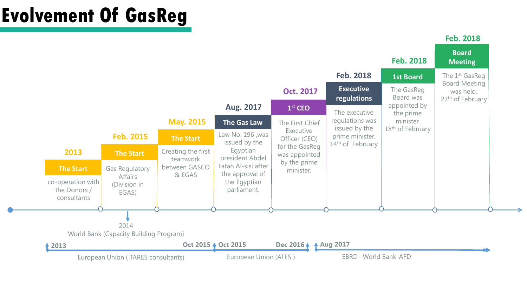# **Evolvement Of GasReg**

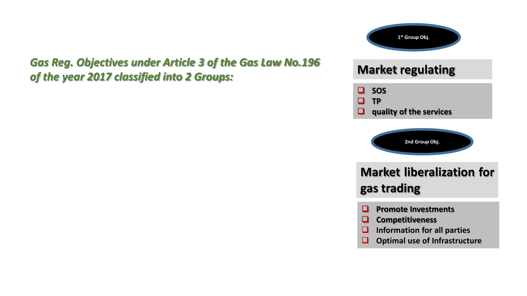#### *Gas Reg. Objectives under Article 3 of the Gas Law No.196 of the year 2017 classified into 2 Groups:*



### **Market regulating**



❑ **quality of the services**



### **Market liberalization for gas trading**

- ❑ **Promote Investments**
- ❑ **Competitiveness**
- ❑ **Information for all parties**
- ❑ **Optimal use of Infrastructure**